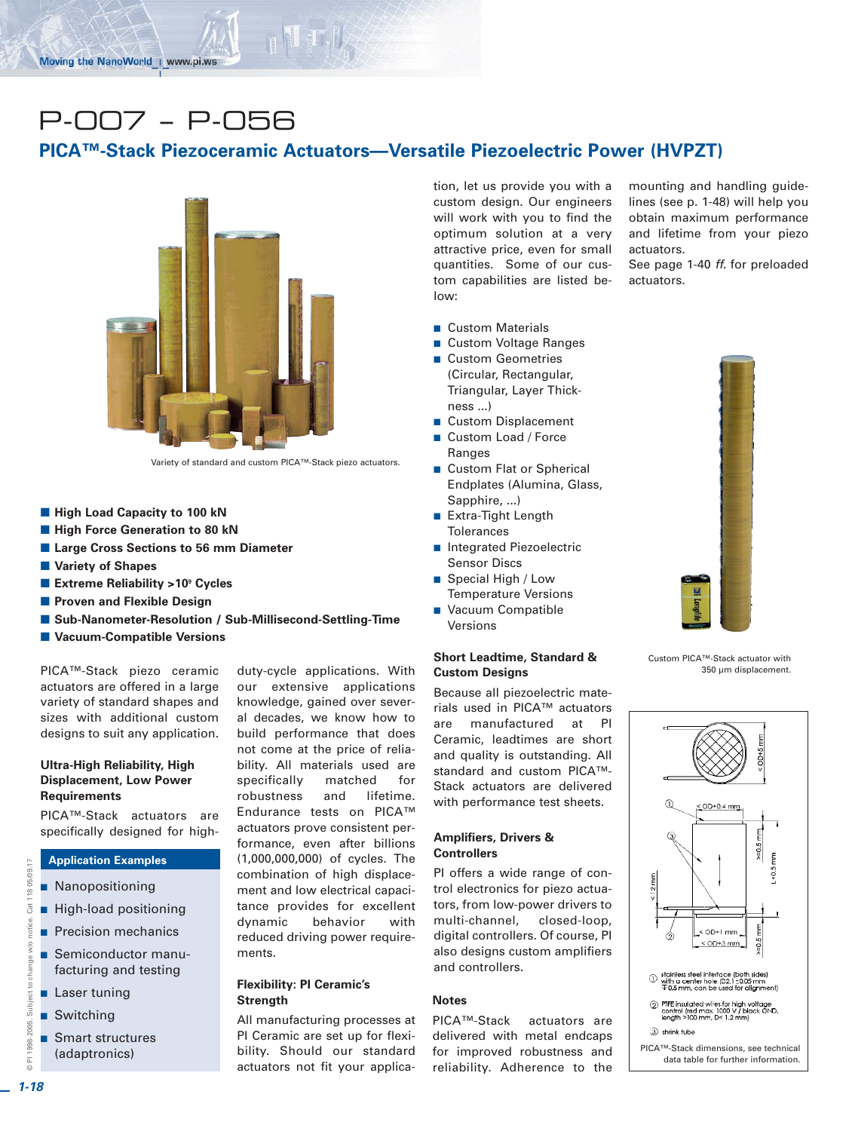# P-007 – P-056

## **PICA™-Stack Piezoceramic Actuators—Versatile Piezoelectric Power (HVPZT)**



Variety of standard and custom PICA™-Stack piezo actuators.

- **High Load Capacity to 100 kN**
- **High Force Generation to 80 kN**
- **E Large Cross Sections to 56 mm Diameter**
- **Nariety of Shapes**
- Extreme Reliability >10<sup>9</sup> Cycles
- **Reference Proven and Flexible Design**
- -**Sub-Nanometer-Resolution / Sub-Millisecond-Settling-Time**
- -**Vacuum-Compatible Versions**

PICA™-Stack piezo ceramic actuators are offered in a large variety of standard shapes and sizes with additional custom designs to suit any application.

#### **Ultra-High Reliability, High Displacement, Low Power Requirements**

PICA™-Stack actuators are specifically designed for high-

#### **Application Examples**

- **Nanopositioning**
- **High-load positioning**
- **Precision mechanics**
- Semiconductor manufacturing and testing
- **Laser tuning**
- Switching
- Smart structures (adaptronics)

duty-cycle applications. With our extensive applications knowledge, gained over several decades, we know how to build performance that does not come at the price of reliability. All materials used are specifically matched for robustness and lifetime. Endurance tests on PICA™ actuators prove consistent performance, even after billions (1,000,000,000) of cycles. The combination of high displacement and low electrical capacitance provides for excellent dynamic behavior with reduced driving power requirements.

#### **Flexibility: PI Ceramic's Strength**

All manufacturing processes at PI Ceramic are set up for flexibility. Should our standard actuators not fit your application, let us provide you with a custom design. Our engineers will work with you to find the optimum solution at a very attractive price, even for small quantities. Some of our custom capabilities are listed below:

- **Custom Materials**
- Custom Voltage Ranges
- Custom Geometries (Circular, Rectangular, Triangular, Layer Thickness ...)
- -Custom Displacement
- Custom Load / Force Ranges
- **Custom Flat or Spherical** Endplates (Alumina, Glass, Sapphire, ...)
- **Extra-Tight Length** Tolerances
- Integrated Piezoelectric Sensor Discs
- Special High / Low Temperature Versions
- **NACULA** Compatible
- Versions

#### **Short Leadtime, Standard & Custom Designs**

Because all piezoelectric materials used in PICA™ actuators are manufactured at PI Ceramic, leadtimes are short and quality is outstanding. All standard and custom PICA™- Stack actuators are delivered with performance test sheets.

#### **Amplifiers, Drivers & Controllers**

PI offers a wide range of control electronics for piezo actuators, from low-power drivers to multi-channel, closed-loop, digital controllers. Of course, PI also designs custom amplifiers and controllers.

#### **Notes**

PICA™-Stack actuators are delivered with metal endcaps for improved robustness and reliability. Adherence to the mounting and handling guidelines (see p. 1-48) will help you obtain maximum performance and lifetime from your piezo actuators.

See page 1-40 *ff.* for preloaded actuators.



Custom PICA™-Stack actuator with 350 µm displacement.



© PI 1998-2005. Subject to change w/o notice. Cat 118 05/09.17

Subject to change

1998-2005.

w/o

 $\overline{C}$ 

11805/09

Cat<sup>1</sup>